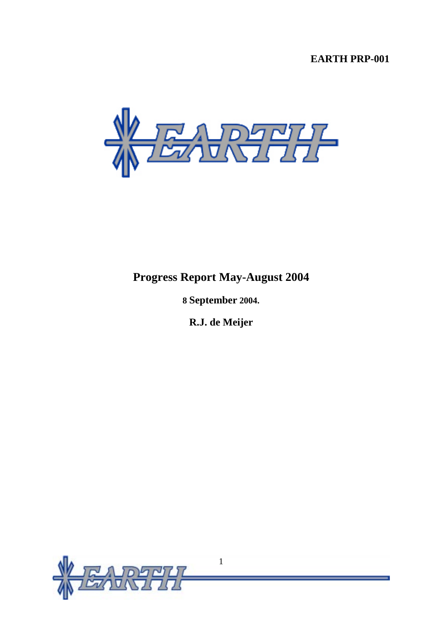# **EARTH PRP-001**



# **Progress Report May-August 2004**

**8 September 2004.** 

**R.J. de Meijer**

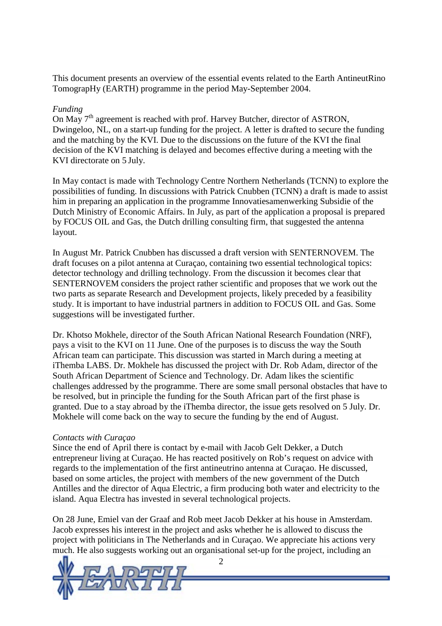This document presents an overview of the essential events related to the Earth AntineutRino TomograpHy (EARTH) programme in the period May-September 2004.

#### *Funding*

On May  $7<sup>th</sup>$  agreement is reached with prof. Harvey Butcher, director of ASTRON, Dwingeloo, NL, on a start-up funding for the project. A letter is drafted to secure the funding and the matching by the KVI. Due to the discussions on the future of the KVI the final decision of the KVI matching is delayed and becomes effective during a meeting with the KVI directorate on 5 July.

In May contact is made with Technology Centre Northern Netherlands (TCNN) to explore the possibilities of funding. In discussions with Patrick Cnubben (TCNN) a draft is made to assist him in preparing an application in the programme Innovatiesamenwerking Subsidie of the Dutch Ministry of Economic Affairs. In July, as part of the application a proposal is prepared by FOCUS OIL and Gas, the Dutch drilling consulting firm, that suggested the antenna layout.

In August Mr. Patrick Cnubben has discussed a draft version with SENTERNOVEM. The draft focuses on a pilot antenna at Curaçao, containing two essential technological topics: detector technology and drilling technology. From the discussion it becomes clear that SENTERNOVEM considers the project rather scientific and proposes that we work out the two parts as separate Research and Development projects, likely preceded by a feasibility study. It is important to have industrial partners in addition to FOCUS OIL and Gas. Some suggestions will be investigated further.

Dr. Khotso Mokhele, director of the South African National Research Foundation (NRF), pays a visit to the KVI on 11 June. One of the purposes is to discuss the way the South African team can participate. This discussion was started in March during a meeting at iThemba LABS. Dr. Mokhele has discussed the project with Dr. Rob Adam, director of the South African Department of Science and Technology. Dr. Adam likes the scientific challenges addressed by the programme. There are some small personal obstacles that have to be resolved, but in principle the funding for the South African part of the first phase is granted. Due to a stay abroad by the iThemba director, the issue gets resolved on 5 July. Dr. Mokhele will come back on the way to secure the funding by the end of August.

#### *Contacts with Curaçao*

Since the end of April there is contact by e-mail with Jacob Gelt Dekker, a Dutch entrepreneur living at Curaçao. He has reacted positively on Rob's request on advice with regards to the implementation of the first antineutrino antenna at Curaçao. He discussed, based on some articles, the project with members of the new government of the Dutch Antilles and the director of Aqua Electric, a firm producing both water and electricity to the island. Aqua Electra has invested in several technological projects.

On 28 June, Emiel van der Graaf and Rob meet Jacob Dekker at his house in Amsterdam. Jacob expresses his interest in the project and asks whether he is allowed to discuss the project with politicians in The Netherlands and in Curaçao. We appreciate his actions very much. He also suggests working out an organisational set-up for the project, including an



 $\mathcal{L}$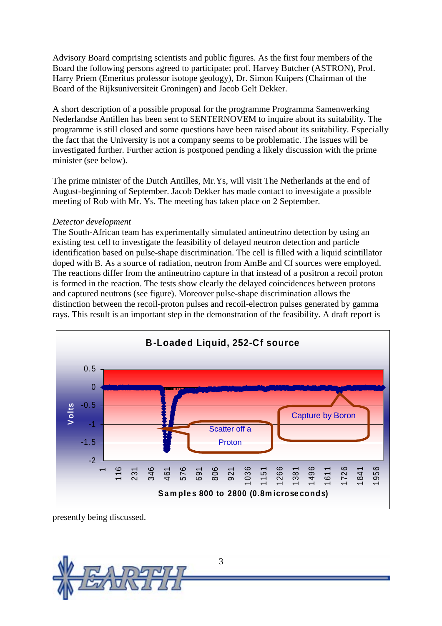Advisory Board comprising scientists and public figures. As the first four members of the Board the following persons agreed to participate: prof. Harvey Butcher (ASTRON), Prof. Harry Priem (Emeritus professor isotope geology), Dr. Simon Kuipers (Chairman of the Board of the Rijksuniversiteit Groningen) and Jacob Gelt Dekker.

A short description of a possible proposal for the programme Programma Samenwerking Nederlandse Antillen has been sent to SENTERNOVEM to inquire about its suitability. The programme is still closed and some questions have been raised about its suitability. Especially the fact that the University is not a company seems to be problematic. The issues will be investigated further. Further action is postponed pending a likely discussion with the prime minister (see below).

The prime minister of the Dutch Antilles, Mr.Ys, will visit The Netherlands at the end of August-beginning of September. Jacob Dekker has made contact to investigate a possible meeting of Rob with Mr. Ys. The meeting has taken place on 2 September.

#### *Detector development*

The South-African team has experimentally simulated antineutrino detection by using an existing test cell to investigate the feasibility of delayed neutron detection and particle identification based on pulse-shape discrimination. The cell is filled with a liquid scintillator doped with B. As a source of radiation, neutron from AmBe and Cf sources were employed. The reactions differ from the antineutrino capture in that instead of a positron a recoil proton is formed in the reaction. The tests show clearly the delayed coincidences between protons and captured neutrons (see figure). Moreover pulse-shape discrimination allows the distinction between the recoil-proton pulses and recoil-electron pulses generated by gamma rays. This result is an important step in the demonstration of the feasibility. A draft report is



presently being discussed.

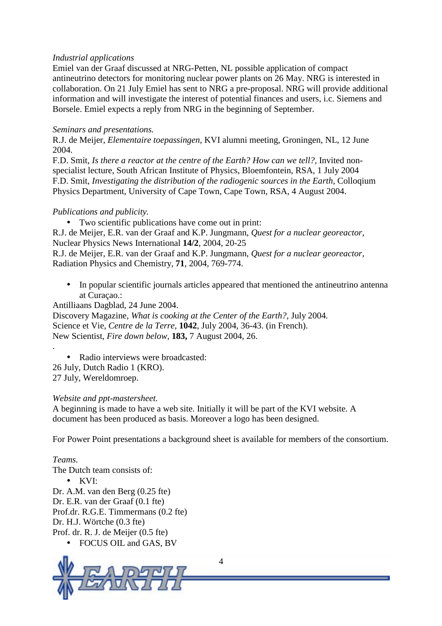#### *Industrial applications*

Emiel van der Graaf discussed at NRG-Petten, NL possible application of compact antineutrino detectors for monitoring nuclear power plants on 26 May. NRG is interested in collaboration. On 21 July Emiel has sent to NRG a pre-proposal. NRG will provide additional information and will investigate the interest of potential finances and users, i.c. Siemens and Borsele. Emiel expects a reply from NRG in the beginning of September.

### *Seminars and presentations.*

R.J. de Meijer, *Elementaire toepassingen,* KVI alumni meeting, Groningen, NL, 12 June 2004.

F.D. Smit, *Is there a reactor at the centre of the Earth? How can we tell?,* Invited nonspecialist lecture, South African Institute of Physics, Bloemfontein, RSA, 1 July 2004 F.D. Smit, *Investigating the distribution of the radiogenic sources in the Earth*, Colloqium Physics Department, University of Cape Town, Cape Town, RSA, 4 August 2004.

#### *Publications and publicity.*

• Two scientific publications have come out in print:

R.J. de Meijer, E.R. van der Graaf and K.P. Jungmann, *Quest for a nuclear georeactor,* Nuclear Physics News International **14/2**, 2004, 20-25

R.J. de Meijer, E.R. van der Graaf and K.P. Jungmann, *Quest for a nuclear georeactor,* Radiation Physics and Chemistry, **71**, 2004, 769-774.

• In popular scientific journals articles appeared that mentioned the antineutrino antenna at Curaçao.:

Antilliaans Dagblad, 24 June 2004.

Discovery Magazine, *What is cooking at the Center of the Earth?,* July 2004*.*  Science et Vie, *Centre de la Terre*, **1042**, July 2004, 36-43. (in French). New Scientist, *Fire down below*, **183,** 7 August 2004, 26.

• Radio interviews were broadcasted: 26 July, Dutch Radio 1 (KRO). 27 July, Wereldomroep.

#### *Website and ppt-mastersheet.*

A beginning is made to have a web site. Initially it will be part of the KVI website. A document has been produced as basis. Moreover a logo has been designed.

For Power Point presentations a background sheet is available for members of the consortium.

## *Teams.*

.

The Dutch team consists of: • KVI: Dr. A.M. van den Berg (0.25 fte) Dr. E.R. van der Graaf (0.1 fte) Prof.dr. R.G.E. Timmermans (0.2 fte) Dr. H.J. Wörtche (0.3 fte) Prof. dr. R. J. de Meijer (0.5 fte) • FOCUS OIL and GAS, BV



4